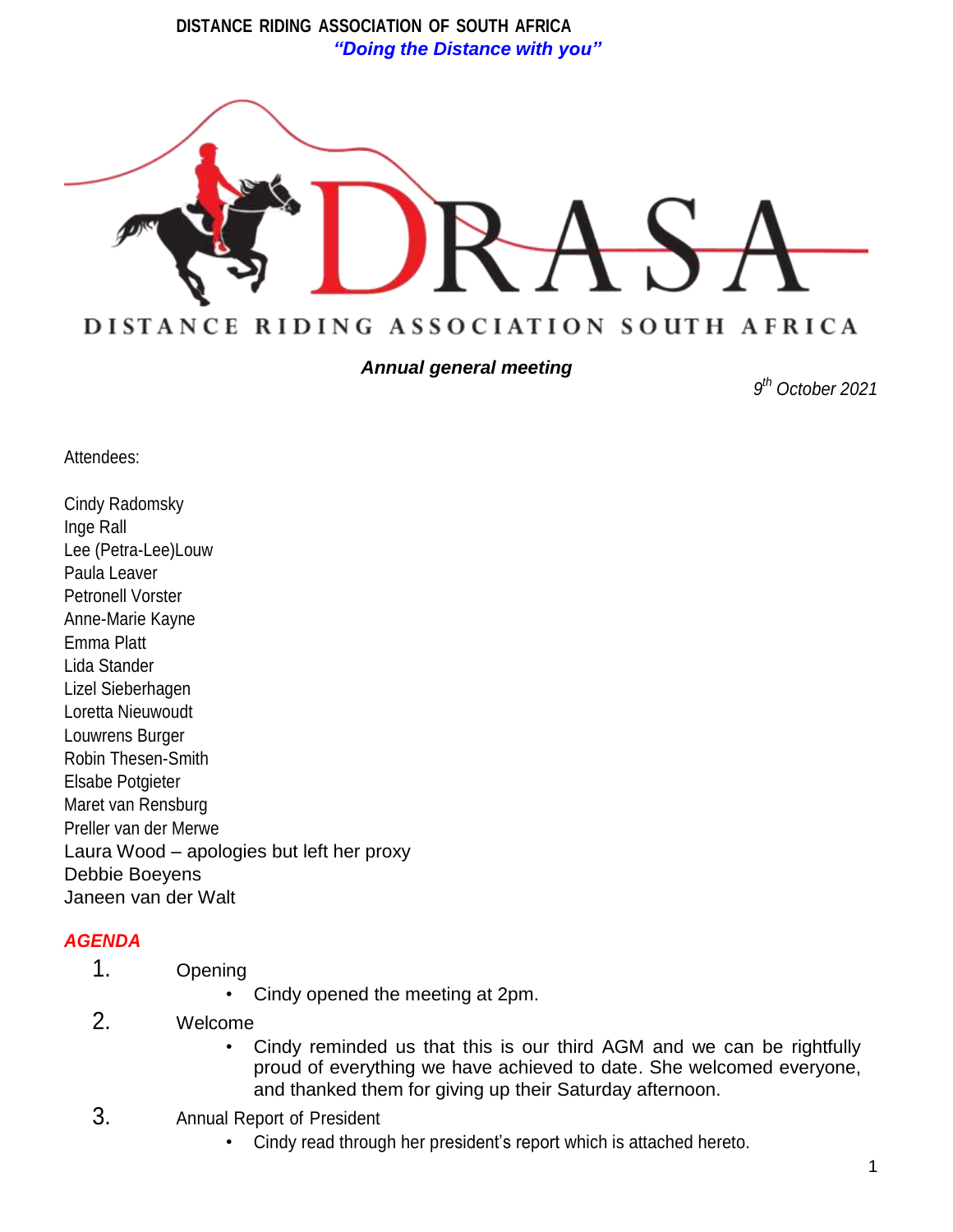**DISTANCE RIDING ASSOCIATION OF SOUTH AFRICA** *"Doing the Distance with you"*



*Annual general meeting*

*9 th October 2021*

Attendees:

Cindy Radomsky Inge Rall Lee (Petra-Lee)Louw Paula Leaver Petronell Vorster Anne-Marie Kayne Emma Platt Lida Stander Lizel Sieberhagen Loretta Nieuwoudt Louwrens Burger Robin Thesen-Smith Elsabe Potgieter Maret van Rensburg Preller van der Merwe Laura Wood – apologies but left her proxy Debbie Boeyens Janeen van der Walt

## *AGENDA*

- 1. Opening
	- Cindy opened the meeting at 2pm.
- 2. Welcome
	- Cindy reminded us that this is our third AGM and we can be rightfully proud of everything we have achieved to date. She welcomed everyone, and thanked them for giving up their Saturday afternoon.
- 3. Annual Report of President
	- Cindy read through her president's report which is attached hereto.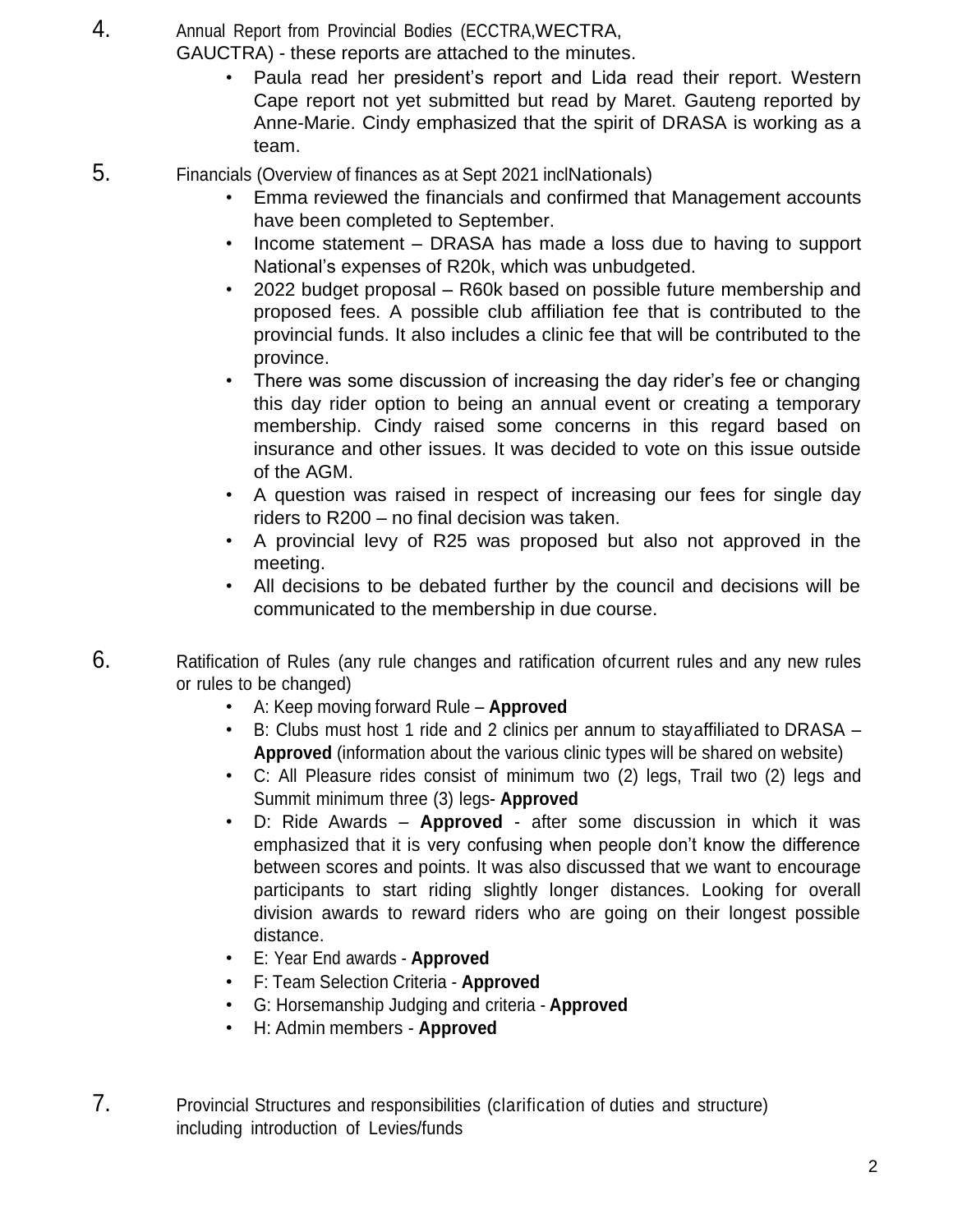4. Annual Report from Provincial Bodies (ECCTRA,WECTRA,

GAUCTRA) - these reports are attached to the minutes.

- Paula read her president's report and Lida read their report. Western Cape report not yet submitted but read by Maret. Gauteng reported by Anne-Marie. Cindy emphasized that the spirit of DRASA is working as a team.
- 5. Financials (Overview of finances as at Sept 2021 inclNationals)
	- Emma reviewed the financials and confirmed that Management accounts have been completed to September.
	- Income statement DRASA has made a loss due to having to support National's expenses of R20k, which was unbudgeted.
	- 2022 budget proposal R60k based on possible future membership and proposed fees. A possible club affiliation fee that is contributed to the provincial funds. It also includes a clinic fee that will be contributed to the province.
	- There was some discussion of increasing the day rider's fee or changing this day rider option to being an annual event or creating a temporary membership. Cindy raised some concerns in this regard based on insurance and other issues. It was decided to vote on this issue outside of the AGM.
	- A question was raised in respect of increasing our fees for single day riders to R200 – no final decision was taken.
	- A provincial levy of R25 was proposed but also not approved in the meeting.
	- All decisions to be debated further by the council and decisions will be communicated to the membership in due course.
- 6. Ratification of Rules (any rule changes and ratification ofcurrent rules and any new rules or rules to be changed)
	- A: Keep moving forward Rule **Approved**
	- B: Clubs must host 1 ride and 2 clinics per annum to stayaffiliated to DRASA **Approved** (information about the various clinic types will be shared on website)
	- C: All Pleasure rides consist of minimum two (2) legs, Trail two (2) legs and Summit minimum three (3) legs- **Approved**
	- D: Ride Awards **Approved** after some discussion in which it was emphasized that it is very confusing when people don't know the difference between scores and points. It was also discussed that we want to encourage participants to start riding slightly longer distances. Looking for overall division awards to reward riders who are going on their longest possible distance.
	- E: Year End awards **Approved**
	- F: Team Selection Criteria **Approved**
	- G: Horsemanship Judging and criteria **Approved**
	- H: Admin members **Approved**
- 7. Provincial Structures and responsibilities (clarification of duties and structure) including introduction of Levies/funds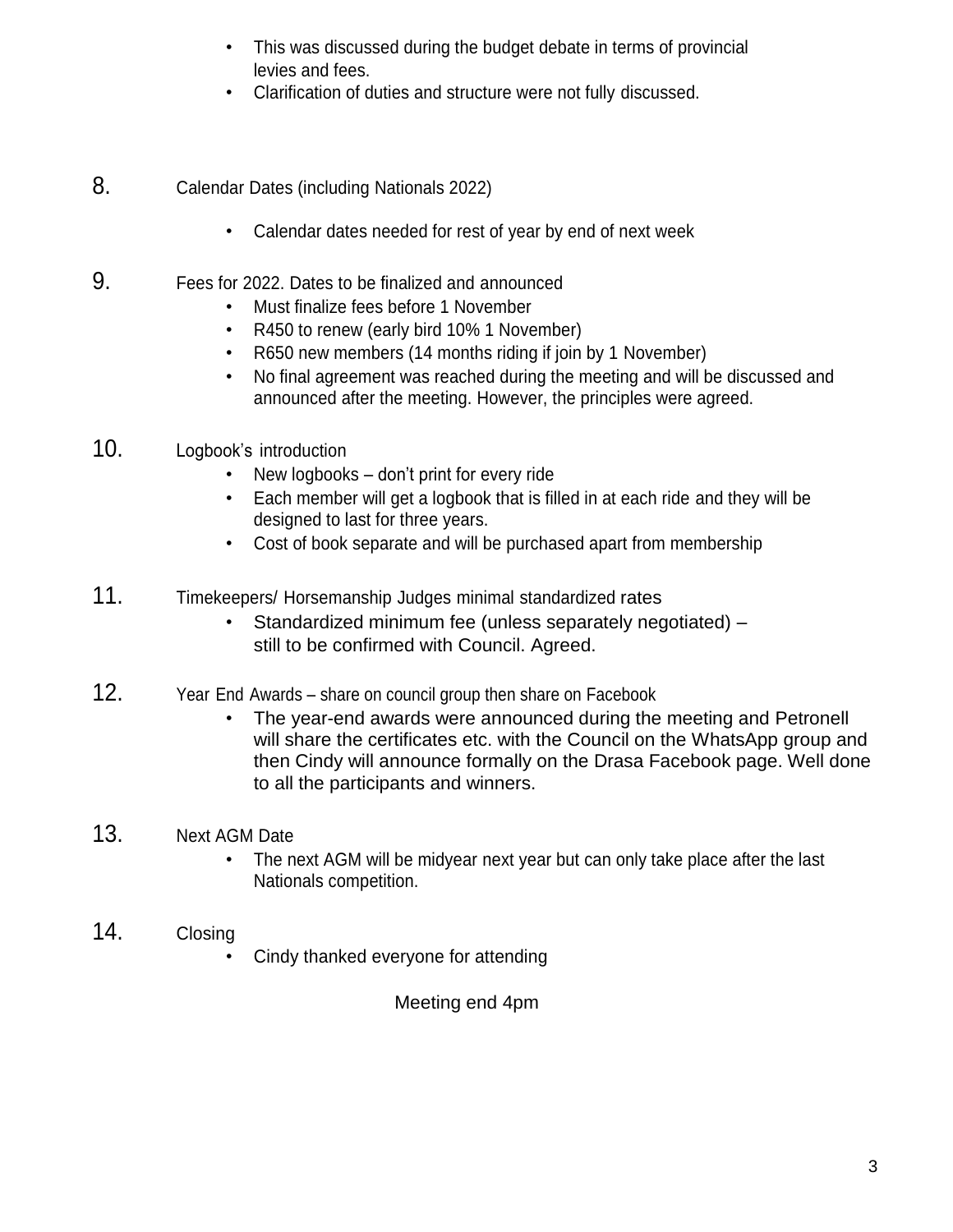- This was discussed during the budget debate in terms of provincial levies and fees.
- Clarification of duties and structure were not fully discussed.
- 8. Calendar Dates (including Nationals 2022)
	- Calendar dates needed for rest of year by end of next week
- 9. Fees for 2022. Dates to be finalized and announced
	- Must finalize fees before 1 November
	- R450 to renew (early bird 10% 1 November)
	- R650 new members (14 months riding if join by 1 November)
	- No final agreement was reached during the meeting and will be discussed and announced after the meeting. However, the principles were agreed.
- 10. Logbook's introduction
	- New logbooks don't print for every ride
	- Each member will get a logbook that is filled in at each ride and they will be designed to last for three years.
	- Cost of book separate and will be purchased apart from membership
- 11. Timekeepers/ Horsemanship Judges minimal standardized rates
	- Standardized minimum fee (unless separately negotiated) still to be confirmed with Council. Agreed.
- 12. Year End Awards share on council group then share on Facebook
	- The year-end awards were announced during the meeting and Petronell will share the certificates etc. with the Council on the WhatsApp group and then Cindy will announce formally on the Drasa Facebook page. Well done to all the participants and winners.
- 13. Next AGM Date
	- The next AGM will be midyear next year but can only take place after the last Nationals competition.
- 14. Closing
	- Cindy thanked everyone for attending

Meeting end 4pm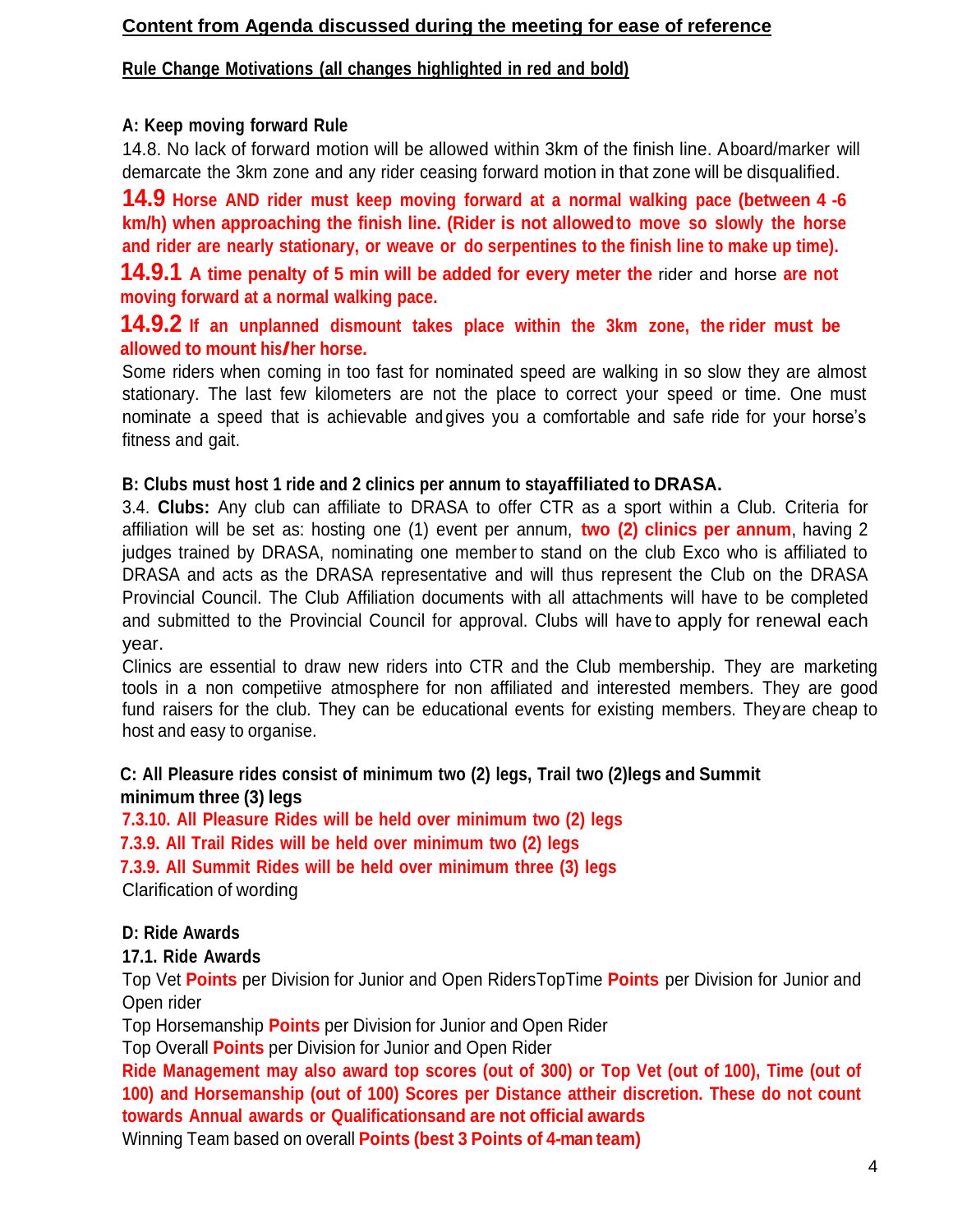### **Content from Agenda discussed during the meeting for ease of reference**

### **Rule Change Motivations (all changes highlighted in red and bold)**

### **A: Keep moving forward Rule**

14.8. No lack of forward motion will be allowed within 3km of the finish line. Aboard/marker will demarcate the 3km zone and any rider ceasing forward motion in that zone will be disqualified.

**14.9 Horse AND rider must keep moving forward at <sup>a</sup> normal walking pace (between 4 -6 km/h) when approaching the finish line. (Rider is not allowedto move so slowly the horse and rider are nearly stationary, or weave or do serpentines to the finish line to make up time).**

**14.9.1 A time penalty of 5 min will be added for every meter the** rider and horse **are not moving forward at a normal walking pace.**

### **14.9.2 If an unplanned dismount takes place within the 3km zone, the rider must be allowed to mount his/her horse.**

Some riders when coming in too fast for nominated speed are walking in so slow they are almost stationary. The last few kilometers are not the place to correct your speed or time. One must nominate a speed that is achievable and gives you a comfortable and safe ride for your horse's fitness and gait.

#### **B: Clubs must host 1 ride and 2 clinics per annum to stayaffiliated to DRASA.**

3.4. **Clubs:** Any club can affiliate to DRASA to offer CTR as a sport within a Club. Criteria for affiliation will be set as: hosting one (1) event per annum, **two (2) clinics per annum**, having 2 judges trained by DRASA, nominating one member to stand on the club Exco who is affiliated to DRASA and acts as the DRASA representative and will thus represent the Club on the DRASA Provincial Council. The Club Affiliation documents with all attachments will have to be completed and submitted to the Provincial Council for approval. Clubs will have to apply for renewal each year.

Clinics are essential to draw new riders into CTR and the Club membership. They are marketing tools in a non competiive atmosphere for non affiliated and interested members. They are good fund raisers for the club. They can be educational events for existing members. Theyare cheap to host and easy to organise.

### **C: All Pleasure rides consist of minimum two (2) legs, Trail two (2)legs and Summit minimum three (3) legs**

**7.3.10. All Pleasure Rides will be held over minimum two (2) legs**

**7.3.9. All Trail Rides will be held over minimum two (2) legs**

**7.3.9. All Summit Rides will be held over minimum three (3) legs**

Clarification of wording

### **D: Ride Awards**

### **17.1. Ride Awards**

Top Vet **Points** per Division for Junior and Open RidersTopTime **Points** per Division for Junior and Open rider

Top Horsemanship **Points** per Division for Junior and Open Rider

Top Overall **Points** per Division for Junior and Open Rider

Ride Management may also award top scores (out of 300) or Top Vet (out of 100), Time (out of **100) and Horsemanship (out of 100) Scores per Distance attheir discretion. These do not count towards Annual awards or Qualificationsand are not official awards**

Winning Team based on overall **Points (best 3 Points of 4-man team)**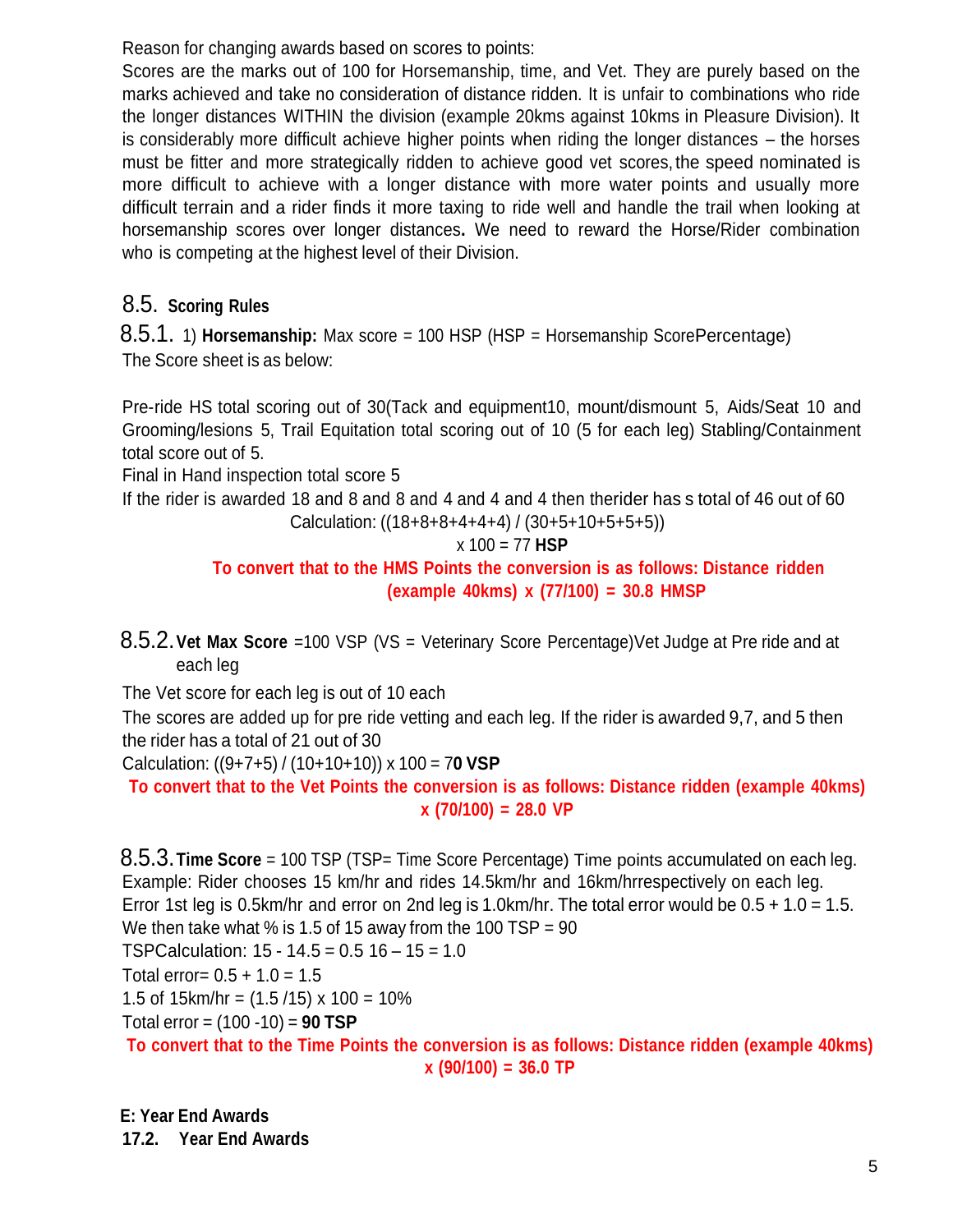Reason for changing awards based on scores to points:

Scores are the marks out of 100 for Horsemanship, time, and Vet. They are purely based on the marks achieved and take no consideration of distance ridden. It is unfair to combinations who ride the longer distances WITHIN the division (example 20kms against 10kms in Pleasure Division). It is considerably more difficult achieve higher points when riding the longer distances – the horses must be fitter and more strategically ridden to achieve good vet scores, the speed nominated is more difficult to achieve with a longer distance with more water points and usually more difficult terrain and a rider finds it more taxing to ride well and handle the trail when looking at horsemanship scores over longer distances**.** We need to reward the Horse/Rider combination who is competing at the highest level of their Division.

# 8.5. **Scoring Rules**

8.5.1. 1) **Horsemanship:** Max score = 100 HSP (HSP = Horsemanship ScorePercentage) The Score sheet is as below:

Pre-ride HS total scoring out of 30(Tack and equipment10, mount/dismount 5, Aids/Seat 10 and Grooming/lesions 5, Trail Equitation total scoring out of 10 (5 for each leg) Stabling/Containment total score out of 5.

Final in Hand inspection total score 5

If the rider is awarded 18 and 8 and 8 and 4 and 4 and 4 then therider has s total of 46 out of 60

Calculation: 
$$
((18+8+8+4+4+4)/(30+5+10+5+5+5))
$$

$$
x 100 = 77
$$
 HSP

**To convert that to the HMS Points the conversion is as follows: Distance ridden (example 40kms) x (77/100) = 30.8 HMSP**

8.5.2.**Vet Max Score** =100 VSP (VS = Veterinary Score Percentage)Vet Judge at Pre ride and at each leg

The Vet score for each leg is out of 10 each

The scores are added up for pre ride vetting and each leg. If the rider is awarded 9,7, and 5 then the rider has a total of 21 out of 30

Calculation: ((9+7+5) / (10+10+10)) x 100 = 7**0 VSP**

**To convert that to the Vet Points the conversion is as follows: Distance ridden (example 40kms) x (70/100) = 28.0 VP**

8.5.3.**Time Score** = 100 TSP (TSP= Time Score Percentage) Time points accumulated on each leg. Example: Rider chooses 15 km/hr and rides 14.5km/hr and 16km/hrrespectively on each leg. Error 1st leg is 0.5km/hr and error on 2nd leg is 1.0km/hr. The total error would be 0.5 + 1.0 = 1.5. We then take what % is 1.5 of 15 away from the 100  $TSP = 90$ TSPCalculation:  $15 - 14.5 = 0.5$  16 -  $15 = 1.0$ Total error=  $0.5 + 1.0 = 1.5$ 1.5 of 15km/hr =  $(1.5/15) \times 100 = 10\%$ 

Total error = (100 -10) = **90 TSP**

**To convert that to the Time Points the conversion is as follows: Distance ridden (example 40kms) x (90/100) = 36.0 TP**

**E: Year End Awards 17.2. Year End Awards**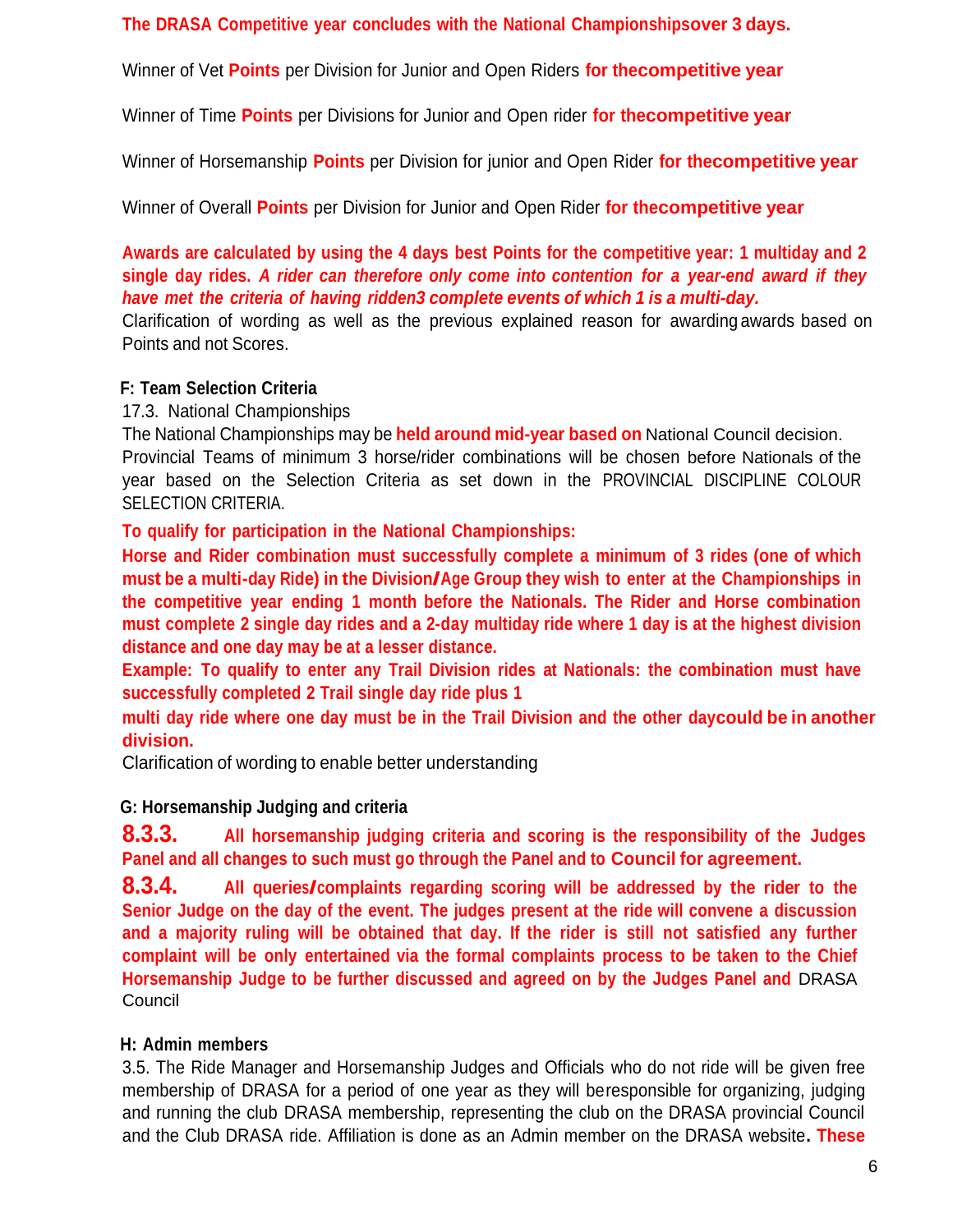**The DRASA Competitive year concludes with the National Championshipsover 3 days.**

Winner of Vet **Points** per Division for Junior and Open Riders **for thecompetitive year**

Winner of Time **Points** per Divisions for Junior and Open rider **for thecompetitive year**

Winner of Horsemanship **Points** per Division for junior and Open Rider **for thecompetitive year**

Winner of Overall **Points** per Division for Junior and Open Rider **for thecompetitive year**

**Awards are calculated by using the 4 days best Points for the competitive year: 1 multiday and 2 single day rides.** *A rider can therefore only come into contention for a year-end award if they have met the criteria of having ridden3 complete events of which 1 is a multi-day.*

Clarification of wording as well as the previous explained reason for awarding awards based on Points and not Scores.

### **F: Team Selection Criteria**

17.3. National Championships

The National Championships may be **held around mid-year based on** National Council decision. Provincial Teams of minimum 3 horse/rider combinations will be chosen before Nationals of the year based on the Selection Criteria as set down in the PROVINCIAL DISCIPLINE COLOUR SELECTION CRITERIA.

**To qualify for participation in the National Championships:**

**Horse and Rider combination must successfully complete a minimum of 3 rides (one of which must be <sup>a</sup> multi-day Ride) in the Division/Age Group they wish to enter at the Championships in the competitive year ending 1 month before the Nationals. The Rider and Horse combination must complete 2 single day rides and a 2-day multiday ride where 1 day is at the highest division distance and one day may be at a lesser distance.**

**Example: To qualify to enter any Trail Division rides at Nationals: the combination must have successfully completed 2 Trail single day ride plus 1**

multi day ride where one day must be in the Trail Division and the other daycould be in another **division.**

Clarification of wording to enable better understanding

## **G: Horsemanship Judging and criteria**

**8.3.3. All horsemanship judging criteria and scoring is the responsibility of the Judges Panel and all changes to such must go through the Panel and to Council for agreement.**

**8.3.4. All queries/complaints regarding scoring will be addressed by the rider to the Senior Judge on the day of the event. The judges present at the ride will convene a discussion and a majority ruling will be obtained that day. If the rider is still not satisfied any further complaint will be only entertained via the formal complaints process to be taken to the Chief Horsemanship Judge to be further discussed and agreed on by the Judges Panel and** DRASA **Council** 

## **H: Admin members**

3.5. The Ride Manager and Horsemanship Judges and Officials who do not ride will be given free membership of DRASA for a period of one year as they will beresponsible for organizing, judging and running the club DRASA membership, representing the club on the DRASA provincial Council and the Club DRASA ride. Affiliation is done as an Admin member on the DRASA website**. These**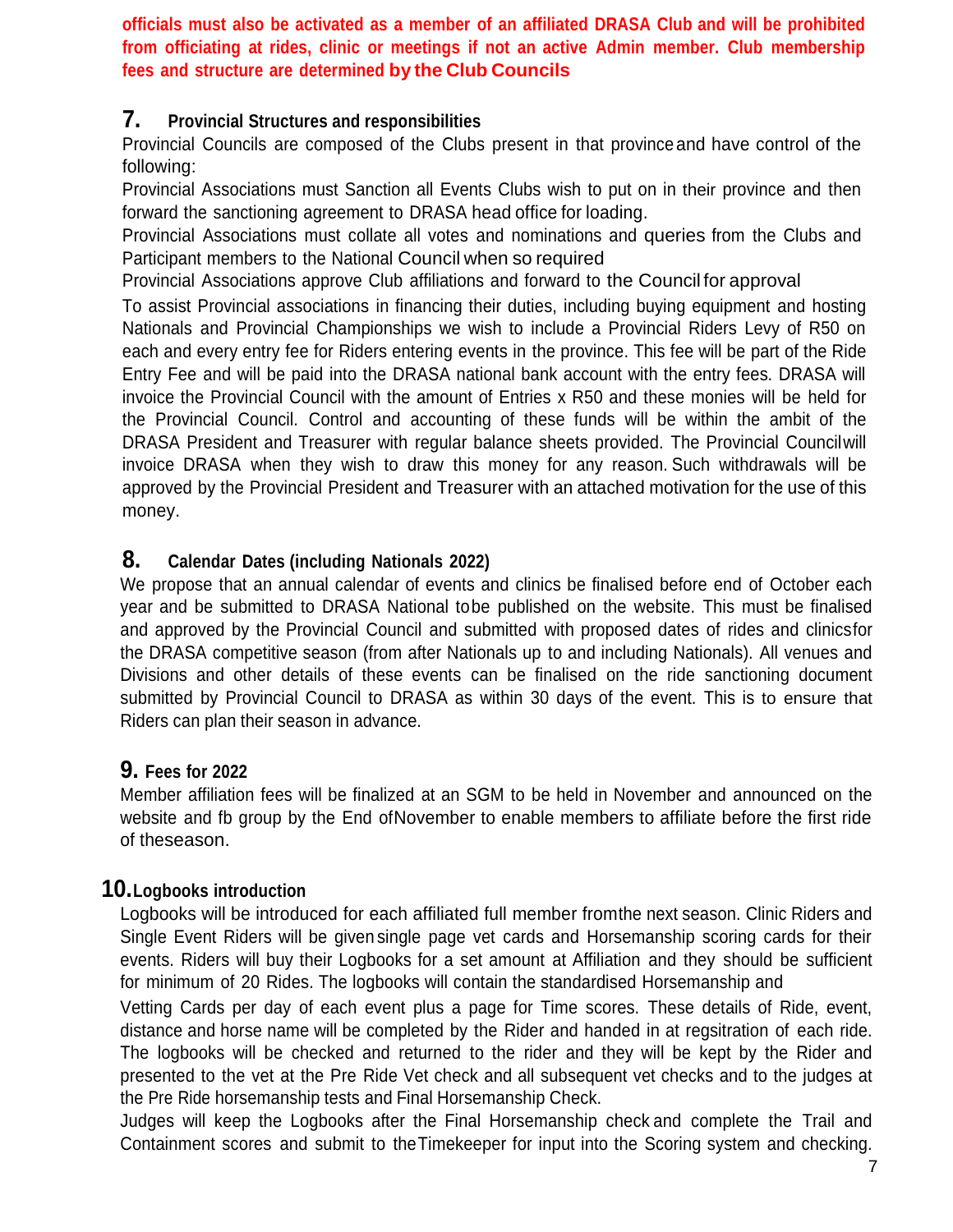**officials must also be activated as a member of an affiliated DRASA Club and will be prohibited from officiating at rides, clinic or meetings if not an active Admin member. Club membership fees and structure are determined by the Club Councils**

## **7. Provincial Structures and responsibilities**

Provincial Councils are composed of the Clubs present in that province and have control of the following:

Provincial Associations must Sanction all Events Clubs wish to put on in their province and then forward the sanctioning agreement to DRASA head office for loading.

Provincial Associations must collate all votes and nominations and queries from the Clubs and Participant members to the National Council when so required

Provincial Associations approve Club affiliations and forward to the Council for approval

To assist Provincial associations in financing their duties, including buying equipment and hosting Nationals and Provincial Championships we wish to include a Provincial Riders Levy of R50 on each and every entry fee for Riders entering events in the province. This fee will be part of the Ride Entry Fee and will be paid into the DRASA national bank account with the entry fees. DRASA will invoice the Provincial Council with the amount of Entries x R50 and these monies will be held for the Provincial Council. Control and accounting of these funds will be within the ambit of the DRASA President and Treasurer with regular balance sheets provided. The Provincial Councilwill invoice DRASA when they wish to draw this money for any reason. Such withdrawals will be approved by the Provincial President and Treasurer with an attached motivation for the use of this money.

## **8. Calendar Dates (including Nationals 2022)**

We propose that an annual calendar of events and clinics be finalised before end of October each year and be submitted to DRASA National tobe published on the website. This must be finalised and approved by the Provincial Council and submitted with proposed dates of rides and clinicsfor the DRASA competitive season (from after Nationals up to and including Nationals). All venues and Divisions and other details of these events can be finalised on the ride sanctioning document submitted by Provincial Council to DRASA as within 30 days of the event. This is to ensure that Riders can plan their season in advance.

## **9. Fees for <sup>2022</sup>**

Member affiliation fees will be finalized at an SGM to be held in November and announced on the website and fb group by the End ofNovember to enable members to affiliate before the first ride of theseason.

## **10.Logbooks introduction**

Logbooks will be introduced for each affiliated full member fromthe next season. Clinic Riders and Single Event Riders will be given single page vet cards and Horsemanship scoring cards for their events. Riders will buy their Logbooks for a set amount at Affiliation and they should be sufficient for minimum of 20 Rides. The logbooks will contain the standardised Horsemanship and

Vetting Cards per day of each event plus a page for Time scores. These details of Ride, event, distance and horse name will be completed by the Rider and handed in at regsitration of each ride. The logbooks will be checked and returned to the rider and they will be kept by the Rider and presented to the vet at the Pre Ride Vet check and all subsequent vet checks and to the judges at the Pre Ride horsemanship tests and Final Horsemanship Check.

Judges will keep the Logbooks after the Final Horsemanship check and complete the Trail and Containment scores and submit to theTimekeeper for input into the Scoring system and checking.